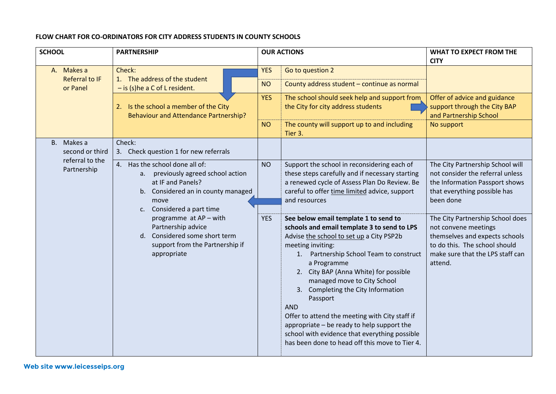## **FLOW CHART FOR CO-ORDINATORS FOR CITY ADDRESS STUDENTS IN COUNTY SCHOOLS**

| <b>SCHOOL</b>                                                   | <b>PARTNERSHIP</b>                                                                                                                                                                                                                                                                                                     | <b>OUR ACTIONS</b> |                                                                                                                                                                                                                                                                                                                                                                                                                                                                                                                                                               | <b>WHAT TO EXPECT FROM THE</b>                                                                                                                                             |
|-----------------------------------------------------------------|------------------------------------------------------------------------------------------------------------------------------------------------------------------------------------------------------------------------------------------------------------------------------------------------------------------------|--------------------|---------------------------------------------------------------------------------------------------------------------------------------------------------------------------------------------------------------------------------------------------------------------------------------------------------------------------------------------------------------------------------------------------------------------------------------------------------------------------------------------------------------------------------------------------------------|----------------------------------------------------------------------------------------------------------------------------------------------------------------------------|
|                                                                 |                                                                                                                                                                                                                                                                                                                        |                    |                                                                                                                                                                                                                                                                                                                                                                                                                                                                                                                                                               | <b>CITY</b>                                                                                                                                                                |
| A. Makes a<br><b>Referral to IF</b><br>or Panel                 | Check:<br>1. The address of the student<br>$-$ is (s) he a C of L resident.<br>2. Is the school a member of the City<br><b>Behaviour and Attendance Partnership?</b>                                                                                                                                                   | <b>YES</b>         | Go to question 2                                                                                                                                                                                                                                                                                                                                                                                                                                                                                                                                              |                                                                                                                                                                            |
|                                                                 |                                                                                                                                                                                                                                                                                                                        | <b>NO</b>          | County address student - continue as normal                                                                                                                                                                                                                                                                                                                                                                                                                                                                                                                   |                                                                                                                                                                            |
|                                                                 |                                                                                                                                                                                                                                                                                                                        | <b>YES</b>         | The school should seek help and support from<br>the City for city address students                                                                                                                                                                                                                                                                                                                                                                                                                                                                            | Offer of advice and guidance<br>support through the City BAP<br>and Partnership School                                                                                     |
|                                                                 |                                                                                                                                                                                                                                                                                                                        | <b>NO</b>          | The county will support up to and including<br>Tier 3.                                                                                                                                                                                                                                                                                                                                                                                                                                                                                                        | No support                                                                                                                                                                 |
| B. Makes a<br>second or third<br>referral to the<br>Partnership | Check:<br>3. Check question 1 for new referrals                                                                                                                                                                                                                                                                        |                    |                                                                                                                                                                                                                                                                                                                                                                                                                                                                                                                                                               |                                                                                                                                                                            |
|                                                                 | 4. Has the school done all of:<br>a. previously agreed school action<br>at IF and Panels?<br>b. Considered an in county managed<br>move<br>Considered a part time<br>$\mathsf{C}$ .<br>programme at AP - with<br>Partnership advice<br>d. Considered some short term<br>support from the Partnership if<br>appropriate | <b>NO</b>          | Support the school in reconsidering each of<br>these steps carefully and if necessary starting<br>a renewed cycle of Assess Plan Do Review. Be<br>careful to offer time limited advice, support<br>and resources                                                                                                                                                                                                                                                                                                                                              | The City Partnership School will<br>not consider the referral unless<br>the Information Passport shows<br>that everything possible has<br>been done                        |
|                                                                 |                                                                                                                                                                                                                                                                                                                        | <b>YES</b>         | See below email template 1 to send to<br>schools and email template 3 to send to LPS<br>Advise the school to set up a City PSP2b<br>meeting inviting:<br>1. Partnership School Team to construct<br>a Programme<br>2. City BAP (Anna White) for possible<br>managed move to City School<br>Completing the City Information<br>3.<br>Passport<br><b>AND</b><br>Offer to attend the meeting with City staff if<br>appropriate - be ready to help support the<br>school with evidence that everything possible<br>has been done to head off this move to Tier 4. | The City Partnership School does<br>not convene meetings<br>themselves and expects schools<br>to do this. The school should<br>make sure that the LPS staff can<br>attend. |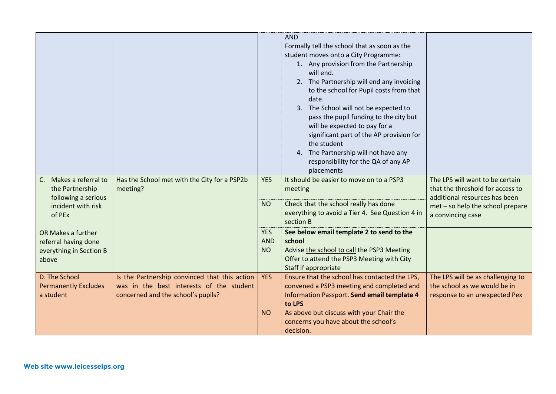|                                                                                                  |                                                                                                                                 |                                       | <b>AND</b><br>Formally tell the school that as soon as the<br>student moves onto a City Programme:<br>1. Any provision from the Partnership<br>will end.<br>2. The Partnership will end any invoicing<br>to the school for Pupil costs from that<br>date.<br>3. The School will not be expected to<br>pass the pupil funding to the city but<br>will be expected to pay for a<br>significant part of the AP provision for<br>the student<br>4. The Partnership will not have any<br>responsibility for the QA of any AP<br>placements |                                                                                                                                                               |
|--------------------------------------------------------------------------------------------------|---------------------------------------------------------------------------------------------------------------------------------|---------------------------------------|---------------------------------------------------------------------------------------------------------------------------------------------------------------------------------------------------------------------------------------------------------------------------------------------------------------------------------------------------------------------------------------------------------------------------------------------------------------------------------------------------------------------------------------|---------------------------------------------------------------------------------------------------------------------------------------------------------------|
| C. Makes a referral to<br>the Partnership<br>following a serious<br>incident with risk<br>of PEx | Has the School met with the City for a PSP2b<br>meeting?                                                                        | <b>YES</b><br><b>NO</b>               | It should be easier to move on to a PSP3<br>meeting<br>Check that the school really has done<br>everything to avoid a Tier 4. See Question 4 in<br>section B                                                                                                                                                                                                                                                                                                                                                                          | The LPS will want to be certain<br>that the threshold for access to<br>additional resources has been<br>met - so help the school prepare<br>a convincing case |
| OR Makes a further<br>referral having done<br>everything in Section B<br>above                   |                                                                                                                                 | <b>YES</b><br><b>AND</b><br><b>NO</b> | See below email template 2 to send to the<br>school<br>Advise the school to call the PSP3 Meeting<br>Offer to attend the PSP3 Meeting with City<br>Staff if appropriate                                                                                                                                                                                                                                                                                                                                                               |                                                                                                                                                               |
| D. The School<br><b>Permanently Excludes</b><br>a student                                        | Is the Partnership convinced that this action<br>was in the best interests of the student<br>concerned and the school's pupils? | <b>YES</b><br><b>NO</b>               | Ensure that the school has contacted the LPS,<br>convened a PSP3 meeting and completed and<br>Information Passport. Send email template 4<br>to LPS<br>As above but discuss with your Chair the<br>concerns you have about the school's<br>decision.                                                                                                                                                                                                                                                                                  | The LPS will be as challenging to<br>the school as we would be in<br>response to an unexpected Pex                                                            |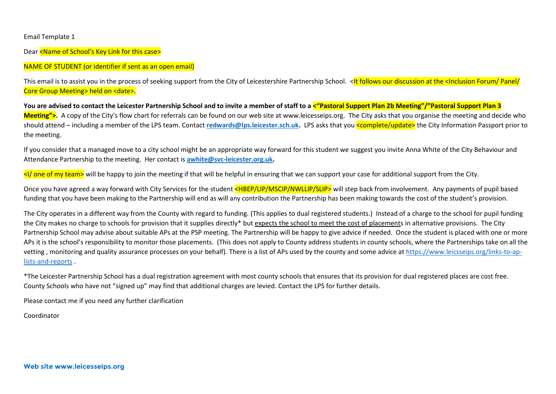Email Template 1

Dear <Name of School's Key Link for this case>

## NAME OF STUDENT (or identifier if sent as an open email)

This email is to assist you in the process of seeking support from the City of Leicestershire Partnership School. <It follows our discussion at the <Inclusion Forum/ Panel/ Core Group Meeting> held on <date>.

**You are advised to contact the Leicester Partnership School and to invite a member of staff to a <"Pastoral Support Plan 2b Meeting"/"Pastoral Support Plan 3 Meeting">.** A copy of the City's flow chart for referrals can be found on our web site at www.leicesseips.org. The City asks that you organise the meeting and decide who should attend – including a member of the LPS team. Contact **[redwards@lps.leicester.sch.uk.](mailto:redwards@lps.leicester.sch.uk)** LPS asks that you <complete/update> the City Information Passport prior to the meeting.

If you consider that a managed move to a city school might be an appropriate way forward for this student we suggest you invite Anna White of the City Behaviour and Attendance Partnership to the meeting. Her contact is **[awhite@svc-leicester.org.uk.](mailto:awhite@svc-leicester.org.uk)**

<I/ one of my team> will be happy to join the meeting if that will be helpful in ensuring that we can support your case for additional support from the City.

Once you have agreed a way forward with City Services for the student <HBEP/LIP/MSCIP/NWLLIP/SLIP> will step back from involvement. Any payments of pupil based funding that you have been making to the Partnership will end as will any contribution the Partnership has been making towards the cost of the student's provision.

The City operates in a different way from the County with regard to funding. (This applies to dual registered students.) Instead of a charge to the school for pupil funding the City makes no charge to schools for provision that it supplies directly\* but expects the school to meet the cost of placements in alternative provisions. The City Partnership School may advise about suitable APs at the PSP meeting. The Partnership will be happy to give advice if needed. Once the student is placed with one or more APs it is the school's responsibility to monitor those placements. (This does not apply to County address students in county schools, where the Partnerships take on all the vetting, monitoring and quality assurance processes on your behalf). There is a list of APs used by the county and some advice a[t https://www.leicsseips.org/links-to-ap](https://www.leicsseips.org/links-to-ap-lists-and-reports)[lists-and-reports](https://www.leicsseips.org/links-to-ap-lists-and-reports) .

\*The Leicester Partnership School has a dual registration agreement with most county schools that ensures that its provision for dual registered places are cost free. County Schools who have not "signed up" may find that additional charges are levied. Contact the LPS for further details.

Please contact me if you need any further clarification

Coordinator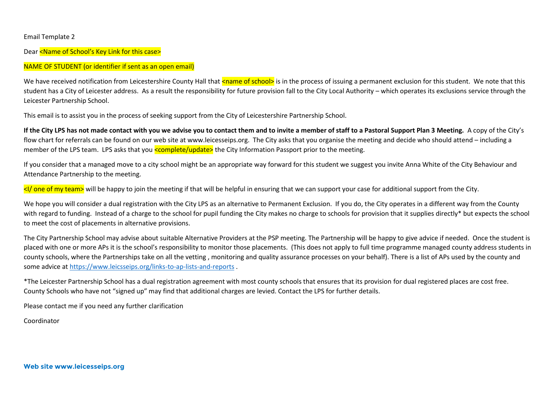#### Email Template 2

Dear <Name of School's Key Link for this case>

### NAME OF STUDENT (or identifier if sent as an open email)

We have received notification from Leicestershire County Hall that <name of school> is in the process of issuing a permanent exclusion for this student. We note that this student has a City of Leicester address. As a result the responsibility for future provision fall to the City Local Authority – which operates its exclusions service through the Leicester Partnership School.

This email is to assist you in the process of seeking support from the City of Leicestershire Partnership School.

**If the City LPS has not made contact with you we advise you to contact them and to invite a member of staff to a Pastoral Support Plan 3 Meeting.** A copy of the City's flow chart for referrals can be found on our web site at www.leicesseips.org. The City asks that you organise the meeting and decide who should attend – including a member of the LPS team. LPS asks that you **<complete/update>** the City Information Passport prior to the meeting.

If you consider that a managed move to a city school might be an appropriate way forward for this student we suggest you invite Anna White of the City Behaviour and Attendance Partnership to the meeting.

<I/ one of my team> will be happy to join the meeting if that will be helpful in ensuring that we can support your case for additional support from the City.

We hope you will consider a dual registration with the City LPS as an alternative to Permanent Exclusion. If you do, the City operates in a different way from the County with regard to funding. Instead of a charge to the school for pupil funding the City makes no charge to schools for provision that it supplies directly\* but expects the school to meet the cost of placements in alternative provisions.

The City Partnership School may advise about suitable Alternative Providers at the PSP meeting. The Partnership will be happy to give advice if needed. Once the student is placed with one or more APs it is the school's responsibility to monitor those placements. (This does not apply to full time programme managed county address students in county schools, where the Partnerships take on all the vetting , monitoring and quality assurance processes on your behalf). There is a list of APs used by the county and some advice a[t https://www.leicsseips.org/links-to-ap-lists-and-reports](https://www.leicsseips.org/links-to-ap-lists-and-reports) .

\*The Leicester Partnership School has a dual registration agreement with most county schools that ensures that its provision for dual registered places are cost free. County Schools who have not "signed up" may find that additional charges are levied. Contact the LPS for further details.

Please contact me if you need any further clarification

Coordinator